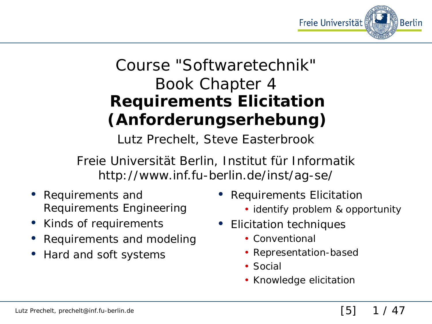

## Course "Softwaretechnik" Book Chapter 4 **Requirements Elicitation (Anforderungserhebung)**

Lutz Prechelt, Steve Easterbrook

Freie Universität Berlin, Institut für Informatik http://www.inf.fu-berlin.de/inst/ag-se/

- Requirements and Requirements Engineering
- Kinds of requirements
- Requirements and modeling
- Hard and soft systems
- Requirements Elicitation
	- identify problem & opportunity
- Elicitation techniques
	- Conventional
	- Representation-based
	- Social
	- Knowledge elicitation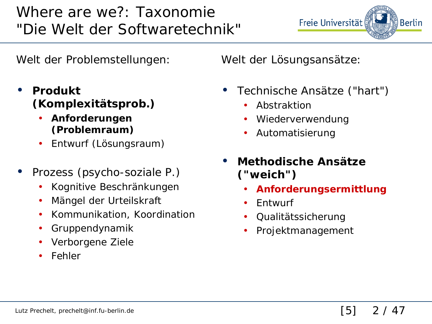#### Where are we?: Taxonomie "Die Welt der Softwaretechnik"

Welt der Problemstellungen:

- **Produkt (Komplexitätsprob.)**
	- **Anforderungen (Problemraum)**
	- Entwurf (Lösungsraum)
- Prozess (psycho-soziale P.)
	- Kognitive Beschränkungen
	- Mängel der Urteilskraft
	- Kommunikation, Koordination
	- Gruppendynamik
	- Verborgene Ziele
	- **Fehler**

Welt der Lösungsansätze:

• Technische Ansätze ("hart")

Freie Universität

- **Abstraktion**
- Wiederverwendung
- Automatisierung
- **Methodische Ansätze ("weich")**
	- **Anforderungsermittlung**
	- Entwurf
	- Qualitätssicherung
	- Projektmanagement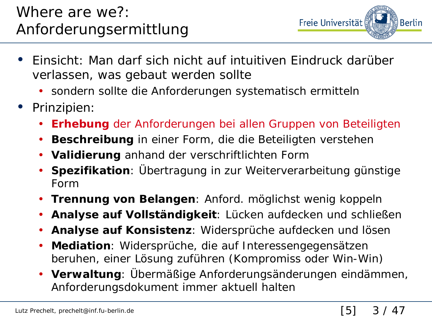

- Einsicht: Man darf sich nicht auf intuitiven Eindruck darüber verlassen, was gebaut werden sollte
	- sondern sollte die Anforderungen systematisch ermitteln
- Prinzipien:
	- **Erhebung** der Anforderungen bei allen Gruppen von Beteiligten
	- **Beschreibung** in einer Form, die die Beteiligten verstehen
	- **Validierung** anhand der verschriftlichten Form
	- **Spezifikation**: Übertragung in zur Weiterverarbeitung günstige Form
	- **Trennung von Belangen**: Anford. möglichst wenig koppeln
	- **Analyse auf Vollständigkeit**: Lücken aufdecken und schließen
	- **Analyse auf Konsistenz**: Widersprüche aufdecken und lösen
	- **Mediation**: Widersprüche, die auf Interessengegensätzen beruhen, einer Lösung zuführen (Kompromiss oder Win-Win)
	- **Verwaltung**: Übermäßige Anforderungsänderungen eindämmen, Anforderungsdokument immer aktuell halten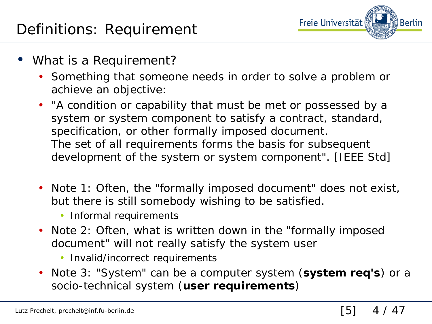

- What is a Requirement?
	- Something that someone needs in order to solve a problem or achieve an objective:
	- *"A condition or capability that must be met or possessed by a system or system component to satisfy a contract, standard, specification, or other formally imposed document. The set of all requirements forms the basis for subsequent development of the system or system component"*. [IEEE Std]
	- Note 1: Often, the "formally imposed document" does not exist, but there is still *somebody* wishing to be satisfied.
		- Informal requirements
	- Note 2: Often, what is written down in the "formally imposed document" will not really *satisfy* the system user
		- Invalid/incorrect requirements
	- Note 3: "System" can be a computer system (**system req's**) or a socio-technical system (**user requirements**)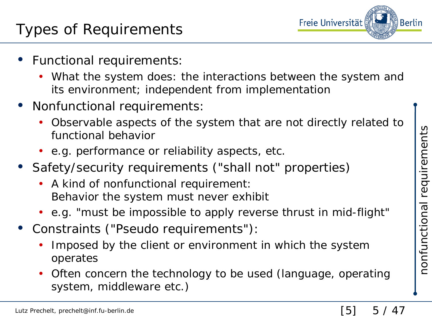- Functional requirements:
	- What the system does: the interactions between the system and its environment; independent from implementation
- Nonfunctional requirements:
	- Observable aspects of the system that are not directly related to functional behavior
	- e.g. performance or reliability aspects, etc.
- Safety/security requirements ("shall not" properties)
	- A kind of nonfunctional requirement: Behavior the system must never exhibit
	- e.g. "must be impossible to apply reverse thrust in mid-flight"
- Constraints ("Pseudo requirements"):
	- Imposed by the client or environment in which the system operates
	- Often concern the technology to be used (language, operating system, middleware etc.)

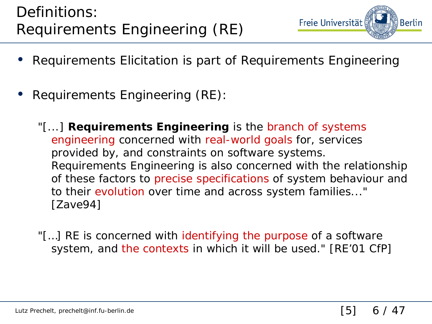

- Requirements Elicitation is part of Requirements Engineering
- Requirements Engineering (RE):
	- "[...] **Requirements Engineering** is the branch of systems engineering concerned with real-world goals for, services provided by, and constraints on software systems. Requirements Engineering is also concerned with the relationship of these factors to precise specifications of system behaviour and to their evolution over time and across system families..." [Zave94]
	- "[...] RE is concerned with identifying the purpose of a software system, and the contexts in which it will be used." [RE'01 CfP]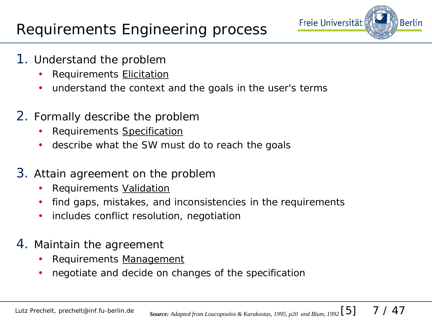

- 1. Understand the problem
	- Requirements **Elicitation**
	- understand the context and the goals in the user's terms
- 2. Formally describe the problem
	- Requirements Specification
	- describe what the SW must do to reach the goals
- 3. Attain agreement on the problem
	- Requirements Validation
	- find gaps, mistakes, and inconsistencies in the requirements
	- includes conflict resolution, negotiation
- 4. Maintain the agreement
	- Requirements Management
	- negotiate and decide on changes of the specification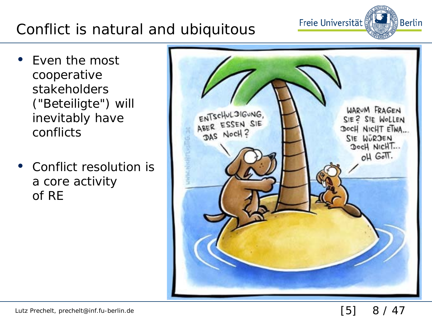### Conflict is natural and ubiquitous

- Even the most cooperative stakeholders ("Beteiligte") will inevitably have conflicts
- Conflict resolution is a core activity of RE



Freie Universität

္ခ် Berlin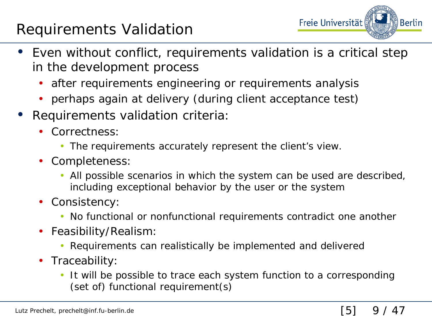#### Requirements Validation



- Even without conflict, requirements validation is a critical step in the development process
	- after requirements engineering or requirements analysis
	- perhaps again at delivery (during client acceptance test)
- Requirements validation criteria:
	- Correctness:
		- The requirements accurately represent the client's view.
	- Completeness:
		- All possible scenarios in which the system can be used are described, including exceptional behavior by the user or the system
	- Consistency:
		- No functional or nonfunctional requirements contradict one another
	- Feasibility/Realism:
		- Requirements can realistically be implemented and delivered
	- Traceability:
		- It will be possible to trace each system function to a corresponding (set of) functional requirement(s)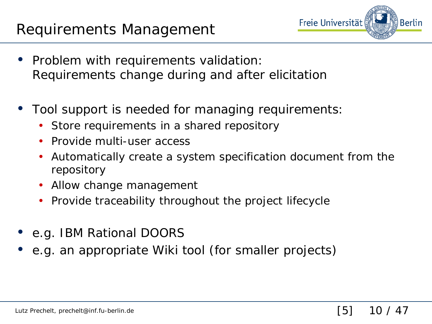

- Problem with requirements validation: Requirements change during and after elicitation
- Tool support is needed for managing requirements:
	- Store requirements in a shared repository
	- Provide multi-user access
	- Automatically create a system specification document from the repository
	- Allow change management
	- Provide traceability throughout the project lifecycle
- e.g. IBM Rational DOORS
- e.g. an appropriate Wiki tool (for smaller projects)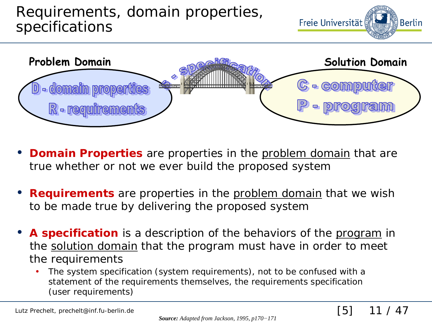

- **Domain Properties** are properties in the **problem** domain that are true whether or not we ever build the proposed system
- **Requirements** are properties in the problem domain that we wish to be made true by delivering the proposed system
- **A specification** is a description of the behaviors of the program in the solution domain that the program must have in order to meet the requirements
	- The system specification (system requirements), not to be confused with a statement of the requirements themselves, the requirements specification (user requirements)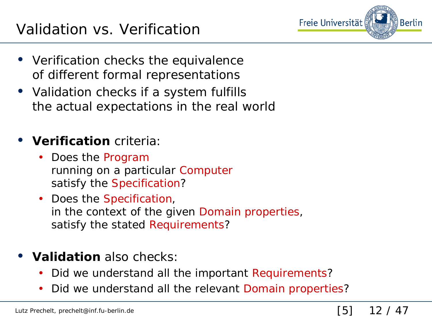

- Verification checks the equivalence of different formal representations
- Validation checks if a system fulfills the actual expectations in the real world

#### • **Verification** criteria:

- Does the Program running on a particular Computer satisfy the Specification?
- Does the Specification, in the context of the given Domain properties, satisfy the *stated* Requirements?

#### • **Validation** also checks:

- Did we understand all the important Requirements?
- Did we understand all the relevant Domain properties?

#### [5] 12 / 47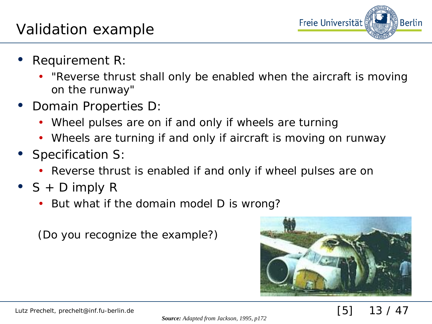

- Requirement R:
	- "Reverse thrust shall only be enabled when the aircraft is moving on the runway"
- Domain Properties D:
	- Wheel pulses are on if and only if wheels are turning
	- Wheels are turning if and only if aircraft is moving on runway
- Specification S:
	- Reverse thrust is enabled if and only if wheel pulses are on
- $S + D$  imply R
	- But what if the domain model D is wrong?

(Do you recognize the example?)



#### [5] 13 / 47

*Source: Adapted from Jackson, 1995, p172*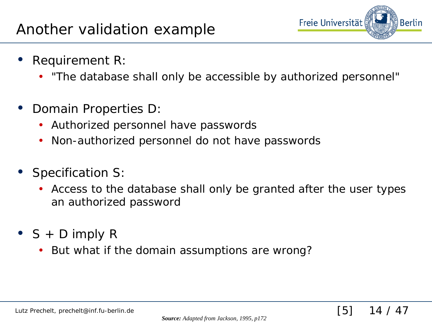

[5] 14 / 47

- Requirement R:
	- "The database shall only be accessible by authorized personnel"
- Domain Properties D:
	- Authorized personnel have passwords
	- Non-authorized personnel do not have passwords
- Specification S:
	- Access to the database shall only be granted after the user types an authorized password
- $S + D$  imply R
	- But what if the domain assumptions are wrong?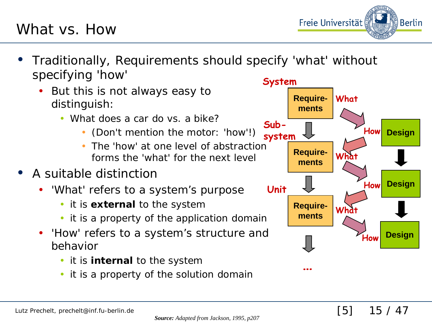#### *Source: Adapted from Jackson, 1995, p207*

- Traditionally, Requirements should specify 'what' without specifying 'how'
	- But this is not always easy to distinguish:
		- What does a car do vs. a bike?
			- (Don't mention the motor: 'how'!)
			- The 'how' at one level of abstraction forms the 'what' for the next level
- A suitable distinction

What vs. How

- 'What' refers to a system's purpose
	- it is **external** to the system
	- it is a property of the application domain
- 'How' refers to a system's structure and behavior
	- it is **internal** to the system
	- it is a property of the solution domain



[5] 15 / 47

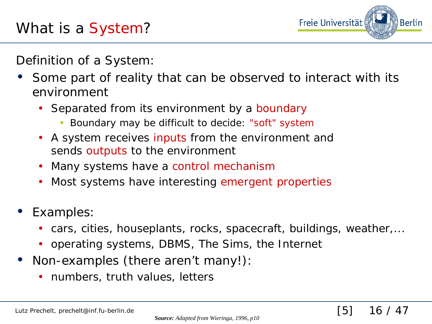

[5] 16 / 47

Definition of a System:

- Some part of reality that can be observed to interact with its environment
	- Separated from its environment by a boundary
		- Boundary may be difficult to decide: "soft" system
	- A system receives inputs from the environment and sends outputs to the environment
	- Many systems have a control mechanism
	- Most systems have interesting emergent properties
- Examples:
	- cars, cities, houseplants, rocks, spacecraft, buildings, weather,...
	- operating systems, DBMS, The Sims, the Internet
- Non-examples (there aren't many!):
	- numbers, truth values, letters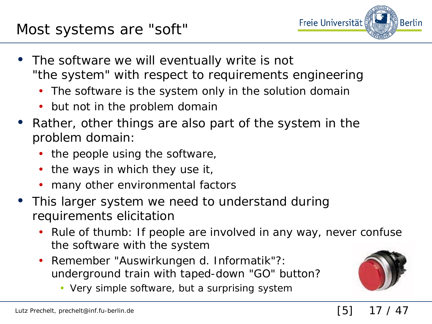

- The software we will eventually write is not "the system" with respect to requirements engineering
	- The software is the system only in the solution domain
	- but not in the problem domain
- Rather, other things are also part of the system in the problem domain:
	- the people using the software,
	- the ways in which they use it,
	- many other environmental factors
- This larger system we need to understand during requirements elicitation
	- Rule of thumb: If people are involved in any way, never confuse the software with the system
	- Remember "Auswirkungen d. Informatik"?: underground train with taped-down "GO" button?
		- Very simple software, but a surprising system



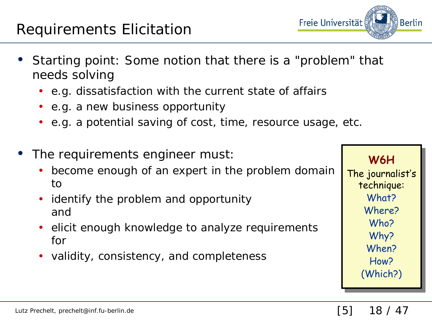#### Requirements Elicitation

- Starting point: Some notion that there is a "problem" that needs solving
	- e.g. dissatisfaction with the current state of affairs
	- e.g. a new business opportunity
	- e.g. a potential saving of cost, time, resource usage, etc.
- The requirements engineer must:
	- become enough of an expert in the problem domain to
	- identify the problem and opportunity and
	- elicit enough knowledge to analyze requirements for
	- validity, consistency, and completeness

**W6H**

The journalist's technique: What?

Where?

Who?

Why? When?

How?

(Which?)

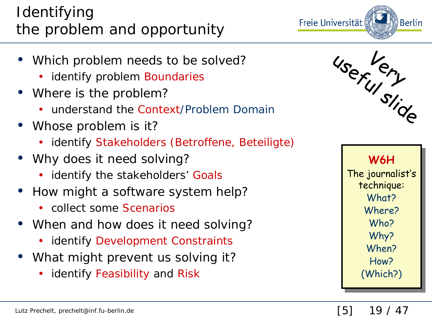#### Identifying the problem and opportunity

- Which problem needs to be solved?
	- identify problem Boundaries
- Where is the problem?
	- understand the Context/Problem Domain
- Whose problem is it?
	- identify Stakeholders (Betroffene, Beteiligte)
- Why does it need solving?
	- identify the stakeholders' Goals
- How might a software system help?
	- collect some Scenarios
- When and how does it need solving?
	- identify Development Constraints
- What might prevent us solving it?
	- identify Feasibility and Risk





[5] 19 / 47

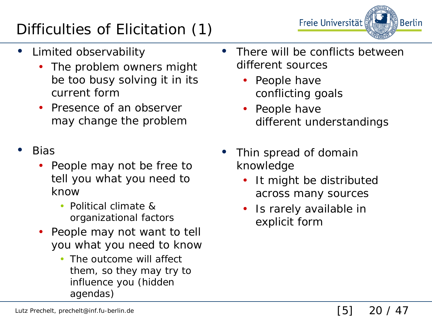## Difficulties of Elicitation (1)

Freie Universität Berlin

- Limited observability
	- The problem owners might be too busy solving it in its current form
	- Presence of an observer may change the problem
- Bias
	- People may not be free to tell you what you need to know
		- Political climate & organizational factors
	- People may not want to tell you what you need to know
		- The outcome will affect them, so they may try to influence you (hidden agendas)
- There will be conflicts between different sources
	- People have conflicting goals
	- People have different understandings
- Thin spread of domain knowledge
	- It might be distributed across many sources
	- Is rarely available in explicit form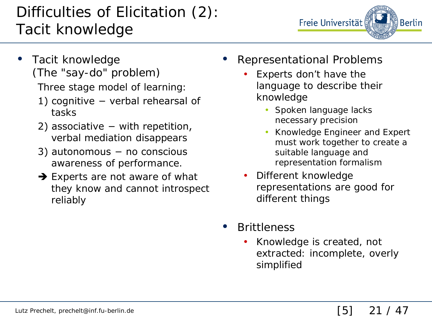### Difficulties of Elicitation (2): Tacit knowledge



• Tacit knowledge (The "say-do" problem)

Three stage model of learning:

- 1) cognitive − verbal rehearsal of tasks
- 2) associative − with repetition, verbal mediation disappears
- 3) autonomous − no conscious awareness of performance.
- $\rightarrow$  Experts are not aware of what they know and cannot introspect reliably
- Representational Problems
	- Experts don't have the language to describe their knowledge
		- Spoken language lacks necessary precision
		- Knowledge Engineer and Expert must work together to create a suitable language and representation formalism
	- Different knowledge representations are good for different things
- **Brittleness** 
	- Knowledge is created, not extracted: incomplete, overly simplified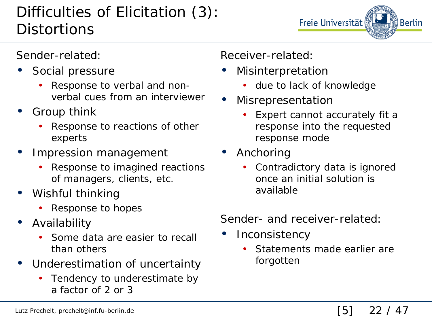#### Difficulties of Elicitation (3): **Distortions**

Freie Universität Berlin

Sender-related:

- Social pressure
	- Response to verbal and nonverbal cues from an interviewer
- Group think
	- Response to reactions of other experts
- Impression management
	- Response to imagined reactions of managers, clients, etc.
- Wishful thinking
	- Response to hopes
- Availability
	- Some data are easier to recall than others
- Underestimation of uncertainty
	- Tendency to underestimate by a factor of 2 or 3

Receiver-related:

- **Misinterpretation** 
	- due to lack of knowledge
- **Misrepresentation** 
	- Expert cannot accurately fit a response into the requested response mode
- Anchoring
	- Contradictory data is ignored once an initial solution is available

Sender- and receiver-related:

- **Inconsistency** 
	- Statements made earlier are forgotten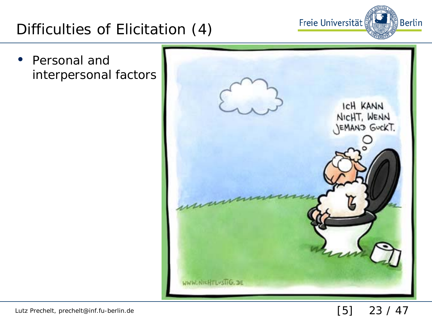#### Difficulties of Elicitation (4)

• Personal and interpersonal factors



Freie Universität

ြို့ Berlin

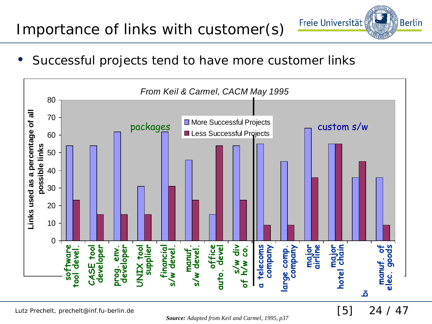#### Importance of links with customer(s)

Successful projects tend to have more customer links



[5] 24 / 47

Freie Universität

**Berlin** 

Lutz Prechelt, prechelt@inf.fu-berlin.de

*Source: Adapted from Keil and Carmel, 1995, p37*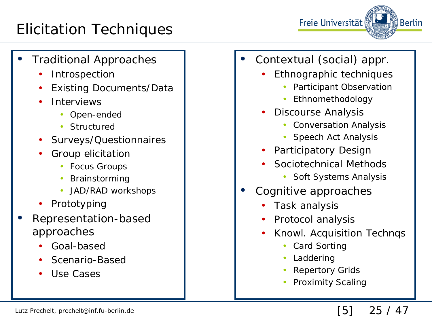#### Elicitation Techniques



- Traditional Approaches
	- **Introspection**
	- Existing Documents/Data
	- **Interviews** 
		- Open-ended
		- Structured
	- Surveys/Questionnaires
	- Group elicitation
		- Focus Groups
		- **Brainstorming**
		- JAD/RAD workshops
	- **Prototyping**
- Representation-based approaches
	- Goal-based
	- Scenario-Based
	- Use Cases
- Contextual (social) appr.
	- Ethnographic techniques
		- Participant Observation
		- Ethnomethodology
	- Discourse Analysis
		- Conversation Analysis
		- Speech Act Analysis
	- Participatory Design
	- Sociotechnical Methods
		- Soft Systems Analysis
- Cognitive approaches
	- Task analysis
	- Protocol analysis
	- Knowl. Acquisition Technqs
		- Card Sorting
		- Laddering
		- **Repertory Grids**
		- Proximity Scaling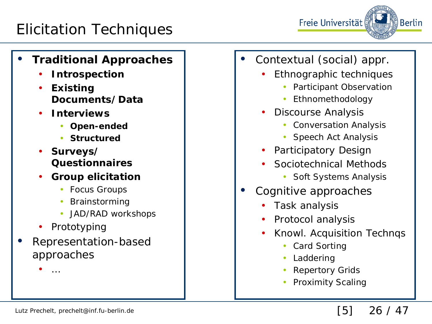#### Elicitation Techniques

#### • **Traditional Approaches**

- **Introspection**
- **Existing Documents/Data**
- **Interviews**
	- **Open-ended**
	- **Structured**
- **Surveys/ Questionnaires**
- **Group elicitation**
	- Focus Groups
	- **Brainstorming**
	- JAD/RAD workshops
- Prototyping
- Representation-based approaches
- Contextual (social) appr.
	- Ethnographic techniques

Freie Universität

- Participant Observation
- Ethnomethodology
- Discourse Analysis
	- Conversation Analysis
	- Speech Act Analysis
- Participatory Design
- Sociotechnical Methods
	- Soft Systems Analysis
- Cognitive approaches
	- Task analysis
	- Protocol analysis
	- Knowl. Acquisition Technqs
		- Card Sorting
		- Laddering
		- **Repertory Grids**
		- Proximity Scaling

 $\bullet$   $\dots$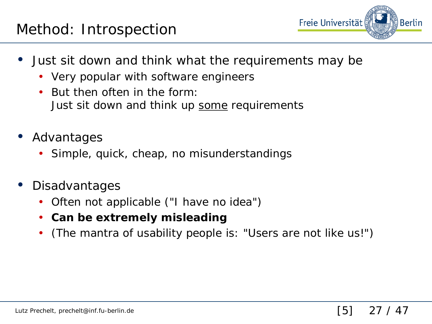

- Just sit down and think what the requirements may be
	- Very popular with software engineers
	- But then often in the form: Just sit down and think up some requirements
- Advantages
	- Simple, quick, cheap, no misunderstandings
- Disadvantages
	- Often not applicable ("I have no idea")
	- **Can be extremely misleading**
	- (The mantra of usability people is: "Users are not like us!")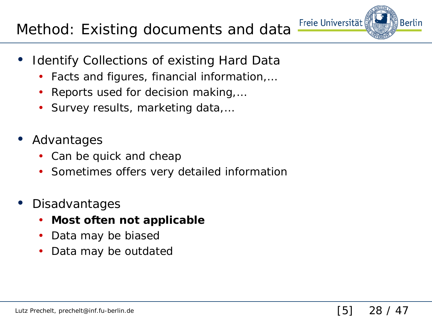#### Method: Existing documents and data

- **Identify Collections of existing Hard Data** 
	- Facts and figures, financial information,…
	- Reports used for decision making,…
	- Survey results, marketing data,…
- Advantages
	- Can be quick and cheap
	- Sometimes offers very detailed information
- **Disadvantages** 
	- **Most often not applicable**
	- Data may be biased
	- Data may be outdated

Freie Universität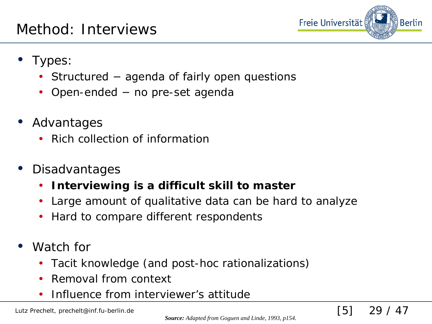

[5] 29 / 47

- Types:
	- Structured agenda of fairly open questions
	- Open-ended no pre-set agenda
- Advantages
	- Rich collection of information
- **Disadvantages** 
	- **Interviewing is a difficult skill to master**
	- Large amount of qualitative data can be hard to analyze
	- Hard to compare different respondents
- Watch for
	- Tacit knowledge (and post-hoc rationalizations)
	- Removal from context
	- Influence from interviewer's attitude

Lutz Prechelt, prechelt@inf.fu-berlin.de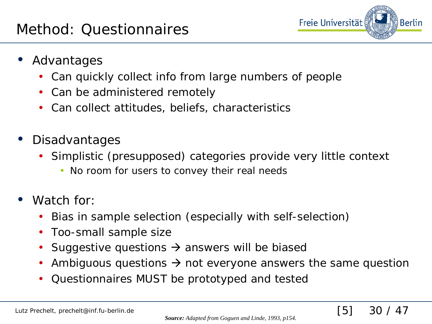

[5] 30 / 47

- Advantages
	- Can quickly collect info from large numbers of people
	- Can be administered remotely
	- Can collect attitudes, beliefs, characteristics
- Disadvantages
	- Simplistic (presupposed) categories provide very little context
		- No room for users to convey their real needs
- Watch for:
	- Bias in sample selection (especially with self-selection)
	- Too-small sample size
	- Suggestive questions  $\rightarrow$  answers will be biased
	- Ambiguous questions  $\rightarrow$  not everyone answers the same question
	- Questionnaires MUST be prototyped and tested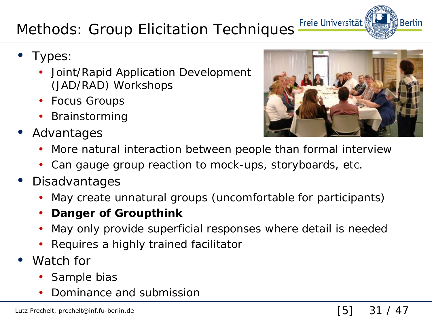## Methods: Group Elicitation Techniques Freie Universität

- Types:
	- Joint/Rapid Application Development (JAD/RAD) Workshops
	- Focus Groups
	- Brainstorming
- Advantages



- Can gauge group reaction to mock-ups, storyboards, etc.
- Disadvantages
	- May create unnatural groups (uncomfortable for participants)
	- **Danger of Groupthink**
	- May only provide superficial responses where detail is needed
	- Requires a highly trained facilitator
- Watch for
	- Sample bias
	- Dominance and submission



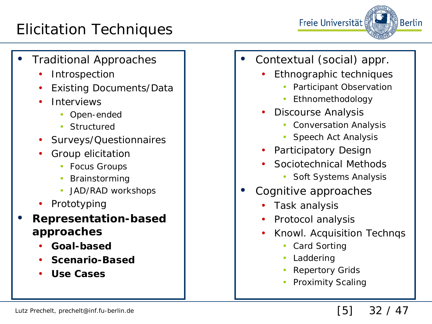#### Elicitation Techniques



- Traditional Approaches
	- **Introspection**
	- Existing Documents/Data
	- **Interviews** 
		- Open-ended
		- Structured
	- Surveys/Questionnaires
	- Group elicitation
		- Focus Groups
		- **Brainstorming**
		- JAD/RAD workshops
	- **Prototyping**
- **Representation-based approaches**
	- **Goal-based**
	- **Scenario-Based**
	- **Use Cases**
- Contextual (social) appr.
	- Ethnographic techniques
		- Participant Observation
		- Ethnomethodology
	- Discourse Analysis
		- Conversation Analysis
		- Speech Act Analysis
	- Participatory Design
	- Sociotechnical Methods
		- Soft Systems Analysis
- Cognitive approaches
	- Task analysis
	- Protocol analysis
	- Knowl. Acquisition Technqs
		- Card Sorting
		- Laddering
		- **Repertory Grids**
		- Proximity Scaling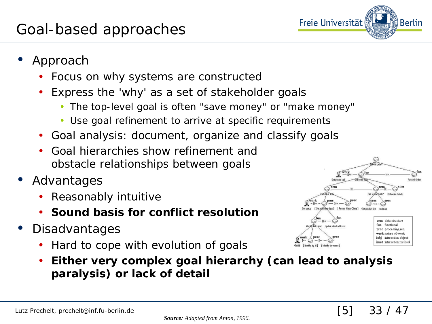

- Approach
	- Focus on why systems are constructed
	- Express the 'why' as a set of stakeholder goals
		- The top-level goal is often "save money" or "make money"
		- Use goal refinement to arrive at specific requirements
	- Goal analysis: document, organize and classify goals
	- Goal hierarchies show refinement and obstacle relationships between goals
- Advantages
	- Reasonably intuitive
	- **Sound basis for conflict resolution**
- Disadvantages
	- Hard to cope with evolution of goals



• **Either very complex goal hierarchy (can lead to analysis paralysis) or lack of detail**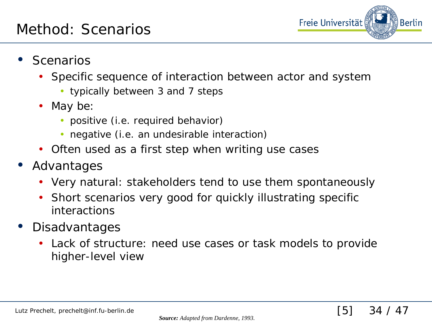

[5] 34 / 47

- **Scenarios** 
	- Specific sequence of interaction between actor and system
		- typically between 3 and 7 steps
	- May be:
		- positive (i.e. required behavior)
		- negative (i.e. an undesirable interaction)
	- Often used as a first step when writing use cases
- Advantages
	- Very natural: stakeholders tend to use them spontaneously
	- Short scenarios very good for quickly illustrating specific interactions
- Disadvantages
	- Lack of structure: need use cases or task models to provide higher-level view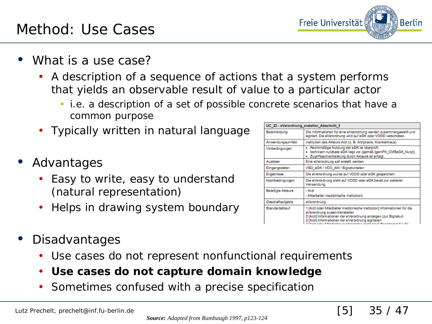#### Method: Use Cases

- What is a use case?
	- A description of a sequence of actions that a system performs that yields an observable result of value to a particular actor
		- i.e. a description of a set of possible concrete scenarios that have a common purpose
	- Typically written in natural language
- Advantages
	- Easy to write, easy to understand (natural representation)
	- Helps in drawing system boundary
- Disadvantages
	- Use cases do not represent nonfunctional requirements
	- **Use cases do not capture domain knowledge**
	- Sometimes confused with a precise specification

| UC_23 - eVerordnung_erstellen_Abschnitt_3 |                                                                                                                                                                                                                               |
|-------------------------------------------|-------------------------------------------------------------------------------------------------------------------------------------------------------------------------------------------------------------------------------|
| <b>Beschreibung</b>                       | Die Informationen für eine eVerordnung werden zusammengestellt und<br>signiert. Die eVerordnung wird auf eGK oder VODD verschoben.                                                                                            |
| Anwendungsumfeld                          | Institution des Akteurs Arzt (z. B. Arztpraxis, Krankenhaus)                                                                                                                                                                  |
| Vorbedingungen                            | Rechtmäßige Nutzung der eGK ist überprüft.<br>٠<br>technisch nutzbare eGK liegt vor (gemäß [gemFK_CMSeGK_Nutz]).<br>٠<br>· Zugriffsauthentisierung durch Akteure ist erfolgt.                                                 |
| Auslöser                                  | Eine eVerordnung soll erstellt werden.                                                                                                                                                                                        |
| Eingangsdaten                             | VSD eGK / VOD AM / Signaturdaten                                                                                                                                                                                              |
| Ergebnisse                                | Die eVerordnung wurde auf VODD oder eGK gespeichert.                                                                                                                                                                          |
| Nachbedingungen                           | Die eVerordnung steht auf VODD oder eGK bereit zur weiteren<br>Verwendung.                                                                                                                                                    |
| Beteiligte Akteure                        | - Arzt<br>- Mitarbeiter medizinische Institution]:                                                                                                                                                                            |
| Geschäftsobjekte                          | eVerordnung                                                                                                                                                                                                                   |
| Standardablauf                            | 1 [Arzt oder Mitarbeiter medizinische Institution]:Informationen für die<br>eVerordnung zusammenstellen<br>2 [Arzt]:Informationen der eVerordnung anzeigen (zur Signatur)<br>3 [Arzt]:Informationen der eVerordnung signieren |

[5] 35 / 47

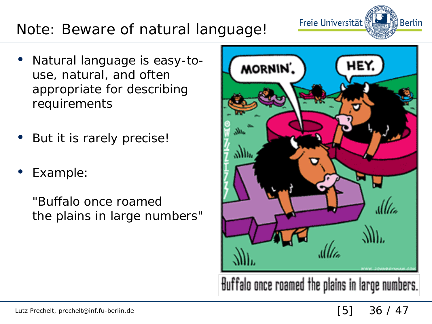### Note: Beware of natural language!

- Natural language is easy-touse, natural, and often appropriate for describing requirements
- But it is rarely precise!
- Example:

"Buffalo once roamed the plains in large numbers"



Freie Universität

္ဒိါ Berlin

[5] 36 / 47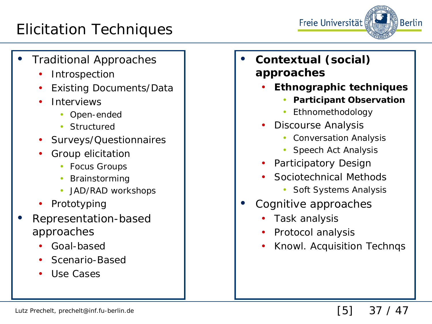#### Elicitation Techniques



- Traditional Approaches
	- **Introspection**
	- Existing Documents/Data
	- **Interviews** 
		- Open-ended
		- Structured
	- Surveys/Questionnaires
	- Group elicitation
		- Focus Groups
		- **Brainstorming**
		- JAD/RAD workshops
	- **Prototyping**
- Representation-based approaches
	- Goal-based
	- Scenario-Based
	- Use Cases
- **Contextual (social) approaches**
	- **Ethnographic techniques**
		- **Participant Observation**
		- Ethnomethodology
	- Discourse Analysis
		- Conversation Analysis
		- Speech Act Analysis
	- Participatory Design
	- Sociotechnical Methods
		- Soft Systems Analysis
- Cognitive approaches
	- Task analysis
	- Protocol analysis
	- Knowl. Acquisition Technqs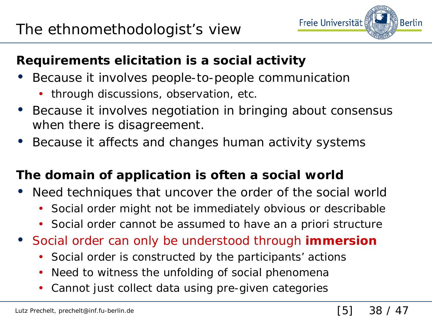

#### **Requirements elicitation is a social activity**

- Because it involves people-to-people communication
	- through discussions, observation, etc.
- Because it involves negotiation in bringing about consensus when there is disagreement.
- Because it affects and changes human activity systems

#### **The domain of application is often a social world**

- Need techniques that uncover the order of the social world
	- Social order might not be immediately obvious or describable
	- Social order cannot be assumed to have an *a priori* structure
- Social order can only be understood through **immersion**
	- Social order is constructed by the participants' actions
	- Need to witness the unfolding of social phenomena
	- Cannot just collect data using pre-given categories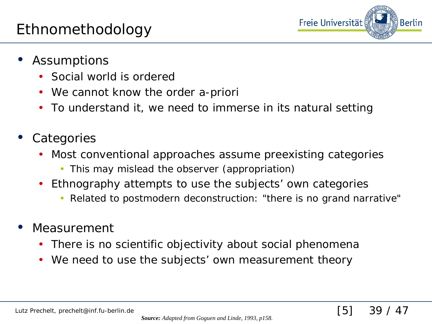

- **Assumptions** 
	- Social world is ordered
	- We cannot know the order a-priori
	- To understand it, we need to immerse in its natural setting
- **Categories** 
	- Most conventional approaches assume preexisting categories
		- This may mislead the observer (appropriation)
	- Ethnography attempts to use the subjects' own categories
		- Related to postmodern deconstruction: "there is no grand narrative"
- Measurement
	- There is no scientific objectivity about social phenomena
	- We need to use the subjects' own measurement theory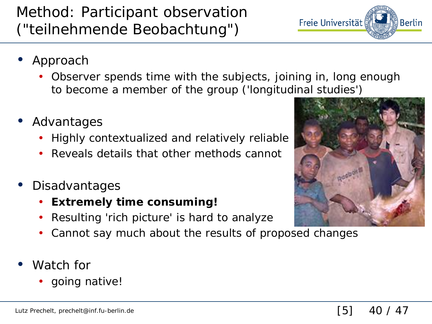#### Method: Participant observation ("teilnehmende Beobachtung")

- Approach
	- Observer spends time with the subjects, joining in, long enough to become a member of the group ('longitudinal studies')
- Advantages
	- Highly contextualized and relatively reliable
	- Reveals details that other methods cannot
- **Disadvantages** 
	- **Extremely time consuming!**
	- Resulting 'rich picture' is hard to analyze
	- Cannot say much about the results of proposed changes
- Watch for
	- going native!



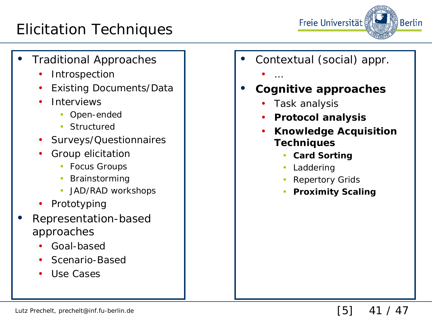#### Elicitation Techniques



- Traditional Approaches
	- **Introspection**
	- Existing Documents/Data
	- **Interviews** 
		- Open-ended
		- Structured
	- Surveys/Questionnaires
	- Group elicitation
		- Focus Groups
		- Brainstorming
		- JAD/RAD workshops
	- **Prototyping**
- Representation-based approaches
	- Goal-based
	- Scenario-Based
	- Use Cases
- Contextual (social) appr.
	- …
- **Cognitive approaches**
	- Task analysis
	- **Protocol analysis**
	- **Knowledge Acquisition Techniques**
		- **Card Sorting**
		- Laddering
		- **Repertory Grids**
		- **Proximity Scaling**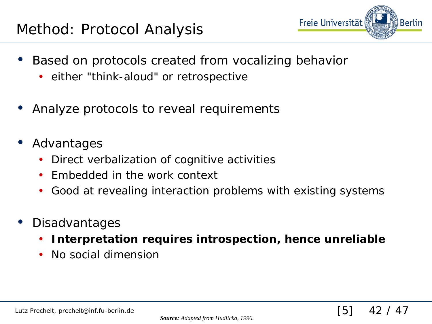

[5] 42 / 47

- Based on protocols created from vocalizing behavior
	- either "think-aloud" or retrospective
- Analyze protocols to reveal requirements
- **Advantages** 
	- Direct verbalization of cognitive activities
	- Embedded in the work context
	- Good at revealing interaction problems with existing systems
- Disadvantages
	- **Interpretation requires introspection, hence unreliable**
	- No social dimension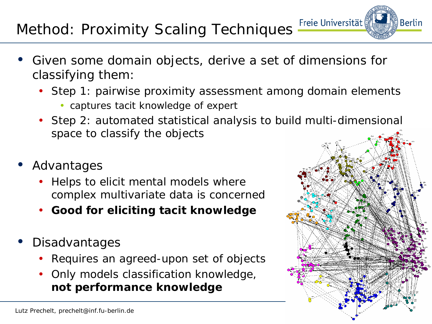#### Freie Universität Method: Proximity Scaling Techniques

- Given some domain objects, derive a set of dimensions for classifying them:
	- Step 1: pairwise proximity assessment among domain elements
		- captures tacit knowledge of expert
	- Step 2: automated statistical analysis to build multi-dimensional space to classify the objects

[5] 43 / 47

- Advantages
	- Helps to elicit mental models where complex multivariate data is concerned
	- **Good for eliciting tacit knowledge**
- **Disadvantages** 
	- Requires an agreed-upon set of objects
	- Only models classification knowledge, **not performance knowledge**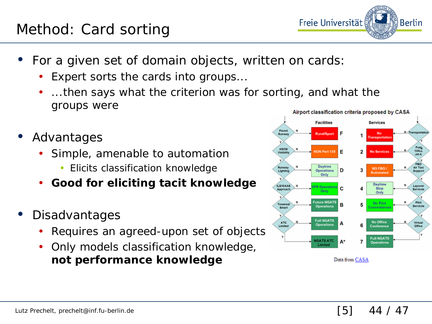#### Method: Card sorting

- For a given set of domain objects, written on cards:
	- Expert sorts the cards into groups...
	- ...then says what the criterion was for sorting, and what the groups were
- Advantages
	- Simple, amenable to automation
		- Elicits classification knowledge
	- **Good for eliciting tacit knowledge**
- Disadvantages
	- Requires an agreed-upon set of objects
	- Only models classification knowledge, **not performance knowledge**



Data from CASA

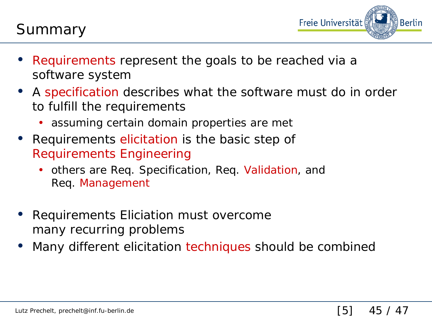

- Requirements represent the goals to be reached via a software system
- A specification describes what the software must do in order to fulfill the requirements
	- assuming certain domain properties are met
- Requirements elicitation is the basic step of Requirements Engineering
	- others are Req. Specification, Req. Validation, and Req. Management
- Requirements Eliciation must overcome many recurring problems
- Many different elicitation techniques should be combined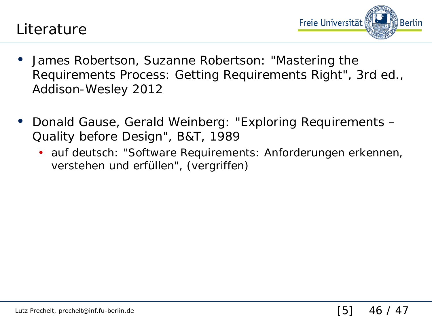



- James Robertson, Suzanne Robertson: "Mastering the Requirements Process: Getting Requirements Right", 3rd ed., Addison-Wesley 2012
- Donald Gause, Gerald Weinberg: "Exploring Requirements Quality before Design", B&T, 1989
	- auf deutsch: "Software Requirements: Anforderungen erkennen, verstehen und erfüllen", (vergriffen)